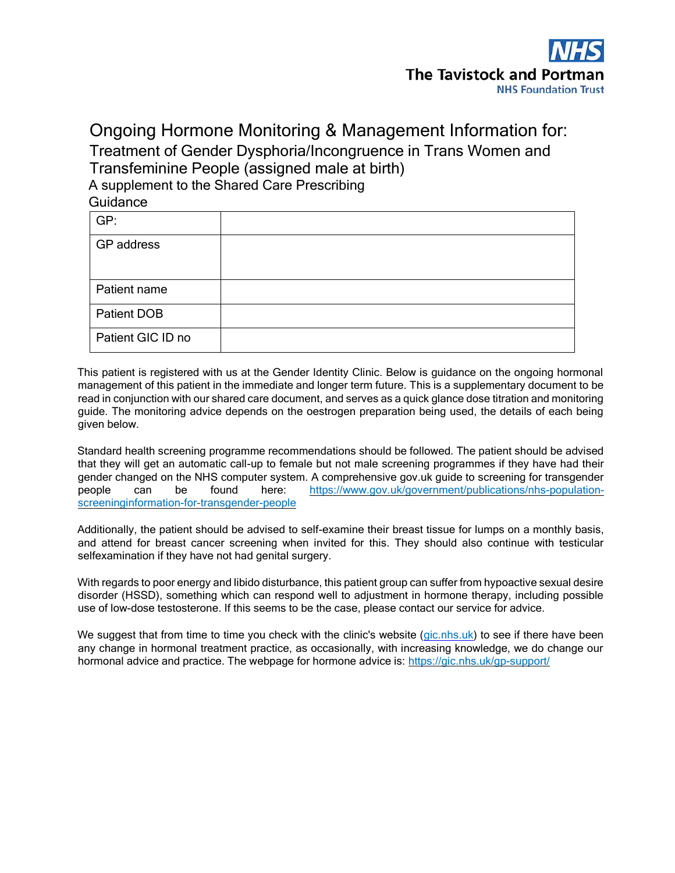

# Ongoing Hormone Monitoring & Management Information for: Treatment of Gender Dysphoria/Incongruence in Trans Women and Transfeminine People (assigned male at birth) A supplement to the Shared Care Prescribing Guidance

| GP:                |  |
|--------------------|--|
| GP address         |  |
|                    |  |
| Patient name       |  |
| <b>Patient DOB</b> |  |
| Patient GIC ID no  |  |

This patient is registered with us at the Gender Identity Clinic. Below is guidance on the ongoing hormonal management of this patient in the immediate and longer term future. This is a supplementary document to be read in conjunction with our shared care document, and serves as a quick glance dose titration and monitoring guide. The monitoring advice depends on the oestrogen preparation being used, the details of each being given below.

Standard health screening programme recommendations should be followed. The patient should be advised that they will get an automatic call-up to female but not male screening programmes if they have had their gender changed on the NHS computer system. A comprehensive gov.uk guide to screening for transgender people can be found here: [https://www.gov.uk/government/publications/nhs-population](https://www.gov.uk/government/publications/nhs-population-screening-information-for-transgender-people)[screeninginformation-for-transgender-people](https://www.gov.uk/government/publications/nhs-population-screening-information-for-transgender-people) 

Additionally, the patient should be advised to self-examine their breast tissue for lumps on a monthly basis, and attend for breast cancer screening when invited for this. They should also continue with testicular selfexamination if they have not had genital surgery.

With regards to poor energy and libido disturbance, this patient group can suffer from hypoactive sexual desire disorder (HSSD), something which can respond well to adjustment in hormone therapy, including possible use of low-dose testosterone. If this seems to be the case, please contact our service for advice.

We suggest that from time to time you check with the clinic's website (gic.nhs.uk) to see if there have been any change in hormonal treatment practice, as occasionally, with increasing knowledge, we do change our hormonal advice and practice. The webpage for hormone advice is: <https://gic.nhs.uk/gp-support/>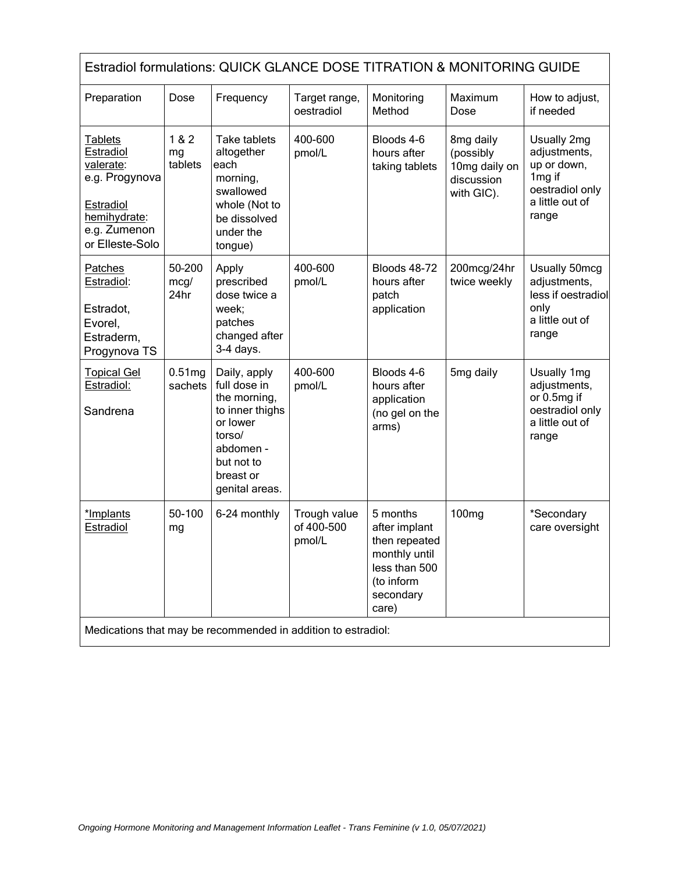| Estradiol formulations: QUICK GLANCE DOSE TITRATION & MONITORING GUIDE                                              |                               |                                                                                                                                                 |                                      |                                                                                                                  |                                                                     |                                                                                                                 |  |
|---------------------------------------------------------------------------------------------------------------------|-------------------------------|-------------------------------------------------------------------------------------------------------------------------------------------------|--------------------------------------|------------------------------------------------------------------------------------------------------------------|---------------------------------------------------------------------|-----------------------------------------------------------------------------------------------------------------|--|
| Preparation                                                                                                         | Dose                          | Frequency                                                                                                                                       | Target range,<br>oestradiol          | Monitoring<br>Method                                                                                             | Maximum<br>Dose                                                     | How to adjust,<br>if needed                                                                                     |  |
| Tablets<br>Estradiol<br>valerate:<br>e.g. Progynova<br>Estradiol<br>hemihydrate:<br>e.g. Zumenon<br>or Elleste-Solo | 1&8&2<br>mg<br>tablets        | Take tablets<br>altogether<br>each<br>morning,<br>swallowed<br>whole (Not to<br>be dissolved<br>under the<br>tongue)                            | 400-600<br>pmol/L                    | Bloods 4-6<br>hours after<br>taking tablets                                                                      | 8mg daily<br>(possibly<br>10mg daily on<br>discussion<br>with GIC). | Usually 2mg<br>adjustments,<br>up or down,<br>1 <sub>mg</sub> if<br>oestradiol only<br>a little out of<br>range |  |
| Patches<br>Estradiol:<br>Estradot,<br>Evorel,<br>Estraderm,<br>Progynova TS                                         | 50-200<br>mcg/<br>24hr        | Apply<br>prescribed<br>dose twice a<br>week;<br>patches<br>changed after<br>$3-4$ days.                                                         | 400-600<br>pmol/L                    | <b>Bloods 48-72</b><br>hours after<br>patch<br>application                                                       | 200mcg/24hr<br>twice weekly                                         | Usually 50mcg<br>adjustments,<br>less if oestradiol<br>only<br>a little out of<br>range                         |  |
| <b>Topical Gel</b><br>Estradiol:<br>Sandrena                                                                        | 0.51 <sub>mg</sub><br>sachets | Daily, apply<br>full dose in<br>the morning,<br>to inner thighs<br>or lower<br>torso/<br>abdomen -<br>but not to<br>breast or<br>genital areas. | 400-600<br>pmol/L                    | Bloods 4-6<br>hours after<br>application<br>(no gel on the<br>arms)                                              | 5mg daily                                                           | Usually 1mg<br>adjustments,<br>or 0.5mg if<br>oestradiol only<br>a little out of<br>range                       |  |
| *Implants<br>Estradiol                                                                                              | 50-100<br>mg                  | 6-24 monthly                                                                                                                                    | Trough value<br>of 400-500<br>pmol/L | 5 months<br>after implant<br>then repeated<br>monthly until<br>less than 500<br>(to inform<br>secondary<br>care) | 100 <sub>mg</sub>                                                   | *Secondary<br>care oversight                                                                                    |  |
| Medications that may be recommended in addition to estradiol:                                                       |                               |                                                                                                                                                 |                                      |                                                                                                                  |                                                                     |                                                                                                                 |  |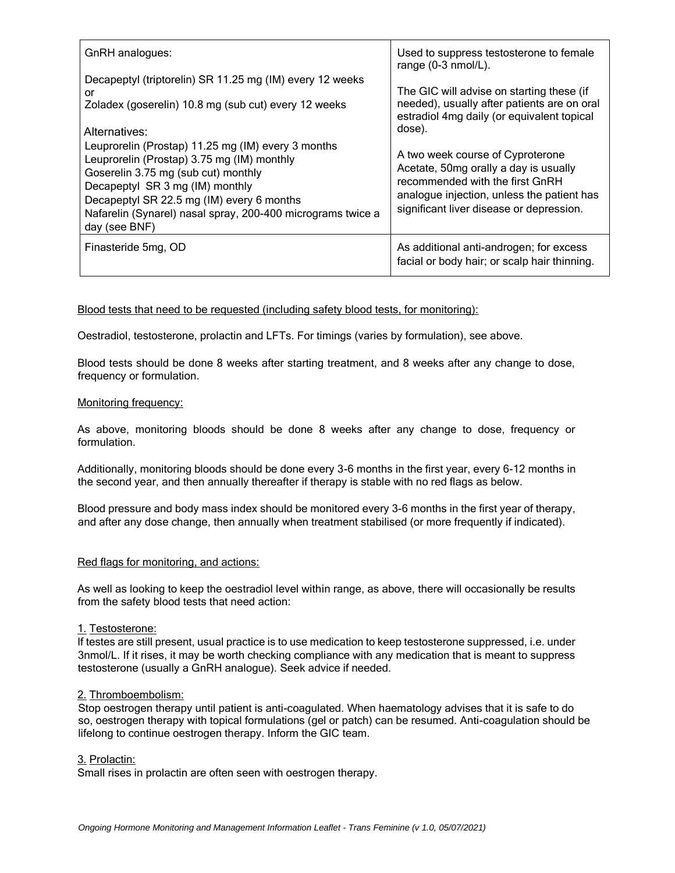| GnRH analogues:                                                                                                                                                                                                                                                                                         | Used to suppress testosterone to female<br>range (0-3 nmol/L).                                                                                                                                         |  |  |
|---------------------------------------------------------------------------------------------------------------------------------------------------------------------------------------------------------------------------------------------------------------------------------------------------------|--------------------------------------------------------------------------------------------------------------------------------------------------------------------------------------------------------|--|--|
| Decapeptyl (triptorelin) SR 11.25 mg (IM) every 12 weeks<br>or<br>Zoladex (goserelin) 10.8 mg (sub cut) every 12 weeks<br>Alternatives:                                                                                                                                                                 | The GIC will advise on starting these (if<br>needed), usually after patients are on oral<br>estradiol 4mg daily (or equivalent topical<br>dose).                                                       |  |  |
| Leuprorelin (Prostap) 11.25 mg (IM) every 3 months<br>Leuprorelin (Prostap) 3.75 mg (IM) monthly<br>Goserelin 3.75 mg (sub cut) monthly<br>Decapeptyl SR 3 mg (IM) monthly<br>Decapeptyl SR 22.5 mg (IM) every 6 months<br>Nafarelin (Synarel) nasal spray, 200-400 micrograms twice a<br>day (see BNF) | A two week course of Cyproterone<br>Acetate, 50mg orally a day is usually<br>recommended with the first GnRH<br>analogue injection, unless the patient has<br>significant liver disease or depression. |  |  |
| Finasteride 5mg, OD                                                                                                                                                                                                                                                                                     | As additional anti-androgen; for excess<br>facial or body hair; or scalp hair thinning.                                                                                                                |  |  |

## Blood tests that need to be requested (including safety blood tests, for monitoring):

Oestradiol, testosterone, prolactin and LFTs. For timings (varies by formulation), see above.

Blood tests should be done 8 weeks after starting treatment, and 8 weeks after any change to dose, frequency or formulation.

### Monitoring frequency:

As above, monitoring bloods should be done 8 weeks after any change to dose, frequency or formulation.

Additionally, monitoring bloods should be done every 3-6 months in the first year, every 6-12 months in the second year, and then annually thereafter if therapy is stable with no red flags as below.

Blood pressure and body mass index should be monitored every 3-6 months in the first year of therapy, and after any dose change, then annually when treatment stabilised (or more frequently if indicated).

### Red flags for monitoring, and actions:

As well as looking to keep the oestradiol level within range, as above, there will occasionally be results from the safety blood tests that need action:

### 1. Testosterone:

If testes are still present, usual practice is to use medication to keep testosterone suppressed, i.e. under 3nmol/L. If it rises, it may be worth checking compliance with any medication that is meant to suppress testosterone (usually a GnRH analogue). Seek advice if needed.

### 2. Thromboembolism:

Stop oestrogen therapy until patient is anti-coagulated. When haematology advises that it is safe to do so, oestrogen therapy with topical formulations (gel or patch) can be resumed. Anti-coagulation should be lifelong to continue oestrogen therapy. Inform the GIC team.

#### 3. Prolactin:

Small rises in prolactin are often seen with oestrogen therapy.